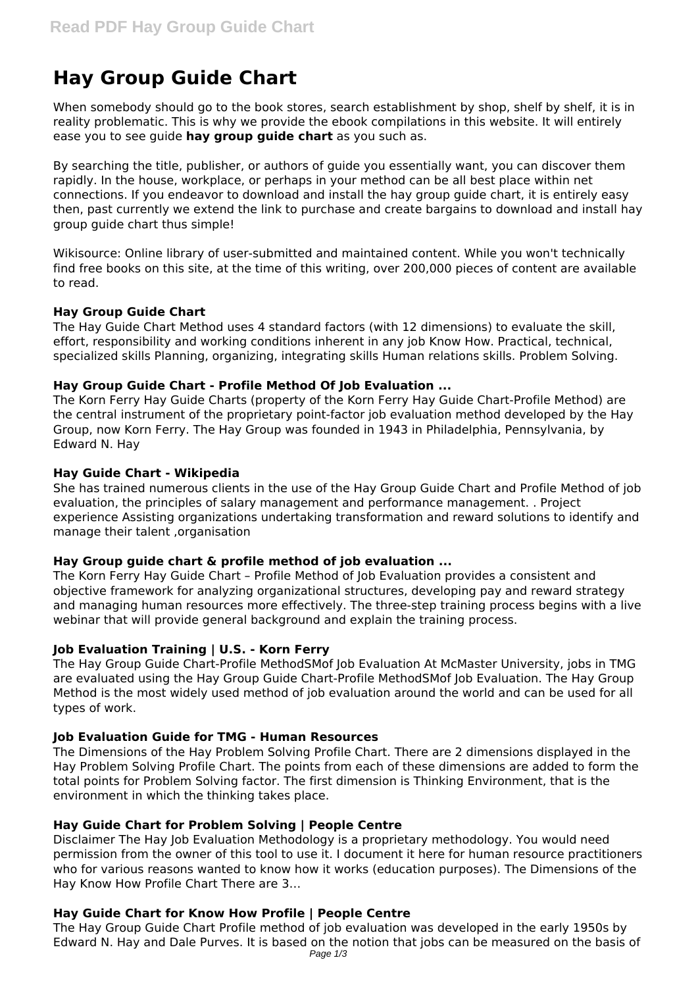# **Hay Group Guide Chart**

When somebody should go to the book stores, search establishment by shop, shelf by shelf, it is in reality problematic. This is why we provide the ebook compilations in this website. It will entirely ease you to see guide **hay group guide chart** as you such as.

By searching the title, publisher, or authors of guide you essentially want, you can discover them rapidly. In the house, workplace, or perhaps in your method can be all best place within net connections. If you endeavor to download and install the hay group guide chart, it is entirely easy then, past currently we extend the link to purchase and create bargains to download and install hay group guide chart thus simple!

Wikisource: Online library of user-submitted and maintained content. While you won't technically find free books on this site, at the time of this writing, over 200,000 pieces of content are available to read.

## **Hay Group Guide Chart**

The Hay Guide Chart Method uses 4 standard factors (with 12 dimensions) to evaluate the skill, effort, responsibility and working conditions inherent in any job Know How. Practical, technical, specialized skills Planning, organizing, integrating skills Human relations skills. Problem Solving.

## **Hay Group Guide Chart - Profile Method Of Job Evaluation ...**

The Korn Ferry Hay Guide Charts (property of the Korn Ferry Hay Guide Chart-Profile Method) are the central instrument of the proprietary point-factor job evaluation method developed by the Hay Group, now Korn Ferry. The Hay Group was founded in 1943 in Philadelphia, Pennsylvania, by Edward N. Hay

## **Hay Guide Chart - Wikipedia**

She has trained numerous clients in the use of the Hay Group Guide Chart and Profile Method of job evaluation, the principles of salary management and performance management. . Project experience Assisting organizations undertaking transformation and reward solutions to identify and manage their talent ,organisation

#### **Hay Group guide chart & profile method of job evaluation ...**

The Korn Ferry Hay Guide Chart – Profile Method of Job Evaluation provides a consistent and objective framework for analyzing organizational structures, developing pay and reward strategy and managing human resources more effectively. The three-step training process begins with a live webinar that will provide general background and explain the training process.

#### **Job Evaluation Training | U.S. - Korn Ferry**

The Hay Group Guide Chart-Profile MethodSMof Job Evaluation At McMaster University, jobs in TMG are evaluated using the Hay Group Guide Chart-Profile MethodSMof Job Evaluation. The Hay Group Method is the most widely used method of job evaluation around the world and can be used for all types of work.

#### **Job Evaluation Guide for TMG - Human Resources**

The Dimensions of the Hay Problem Solving Profile Chart. There are 2 dimensions displayed in the Hay Problem Solving Profile Chart. The points from each of these dimensions are added to form the total points for Problem Solving factor. The first dimension is Thinking Environment, that is the environment in which the thinking takes place.

#### **Hay Guide Chart for Problem Solving | People Centre**

Disclaimer The Hay Job Evaluation Methodology is a proprietary methodology. You would need permission from the owner of this tool to use it. I document it here for human resource practitioners who for various reasons wanted to know how it works (education purposes). The Dimensions of the Hay Know How Profile Chart There are 3…

# **Hay Guide Chart for Know How Profile | People Centre**

The Hay Group Guide Chart Profile method of job evaluation was developed in the early 1950s by Edward N. Hay and Dale Purves. It is based on the notion that jobs can be measured on the basis of Page 1/3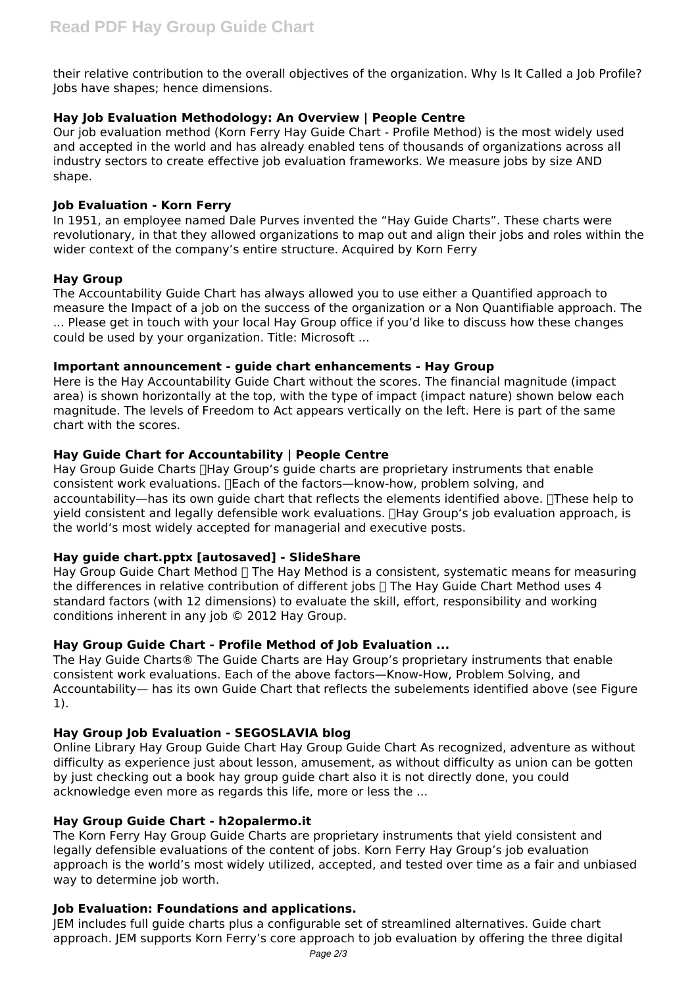their relative contribution to the overall objectives of the organization. Why Is It Called a Job Profile? Jobs have shapes; hence dimensions.

# **Hay Job Evaluation Methodology: An Overview | People Centre**

Our job evaluation method (Korn Ferry Hay Guide Chart - Profile Method) is the most widely used and accepted in the world and has already enabled tens of thousands of organizations across all industry sectors to create effective job evaluation frameworks. We measure jobs by size AND shape.

# **Job Evaluation - Korn Ferry**

In 1951, an employee named Dale Purves invented the "Hay Guide Charts". These charts were revolutionary, in that they allowed organizations to map out and align their jobs and roles within the wider context of the company's entire structure. Acquired by Korn Ferry

## **Hay Group**

The Accountability Guide Chart has always allowed you to use either a Quantified approach to measure the Impact of a job on the success of the organization or a Non Quantifiable approach. The ... Please get in touch with your local Hay Group office if you'd like to discuss how these changes could be used by your organization. Title: Microsoft ...

## **Important announcement - guide chart enhancements - Hay Group**

Here is the Hay Accountability Guide Chart without the scores. The financial magnitude (impact area) is shown horizontally at the top, with the type of impact (impact nature) shown below each magnitude. The levels of Freedom to Act appears vertically on the left. Here is part of the same chart with the scores.

## **Hay Guide Chart for Accountability | People Centre**

Hay Group Guide Charts  $\Box$  Hay Group's quide charts are proprietary instruments that enable consistent work evaluations. Teach of the factors—know-how, problem solving, and accountability—has its own guide chart that reflects the elements identified above. These help to yield consistent and legally defensible work evaluations. Hay Group's job evaluation approach, is the world's most widely accepted for managerial and executive posts.

# **Hay guide chart.pptx [autosaved] - SlideShare**

Hay Group Guide Chart Method  $\Box$  The Hay Method is a consistent, systematic means for measuring the differences in relative contribution of different jobs  $\Box$  The Hay Guide Chart Method uses 4 standard factors (with 12 dimensions) to evaluate the skill, effort, responsibility and working conditions inherent in any job © 2012 Hay Group.

# **Hay Group Guide Chart - Profile Method of Job Evaluation ...**

The Hay Guide Charts® The Guide Charts are Hay Group's proprietary instruments that enable consistent work evaluations. Each of the above factors—Know-How, Problem Solving, and Accountability— has its own Guide Chart that reflects the subelements identified above (see Figure 1).

# **Hay Group Job Evaluation - SEGOSLAVIA blog**

Online Library Hay Group Guide Chart Hay Group Guide Chart As recognized, adventure as without difficulty as experience just about lesson, amusement, as without difficulty as union can be gotten by just checking out a book hay group guide chart also it is not directly done, you could acknowledge even more as regards this life, more or less the ...

# **Hay Group Guide Chart - h2opalermo.it**

The Korn Ferry Hay Group Guide Charts are proprietary instruments that yield consistent and legally defensible evaluations of the content of jobs. Korn Ferry Hay Group's job evaluation approach is the world's most widely utilized, accepted, and tested over time as a fair and unbiased way to determine job worth.

## **Job Evaluation: Foundations and applications.**

JEM includes full guide charts plus a configurable set of streamlined alternatives. Guide chart approach. JEM supports Korn Ferry's core approach to job evaluation by offering the three digital